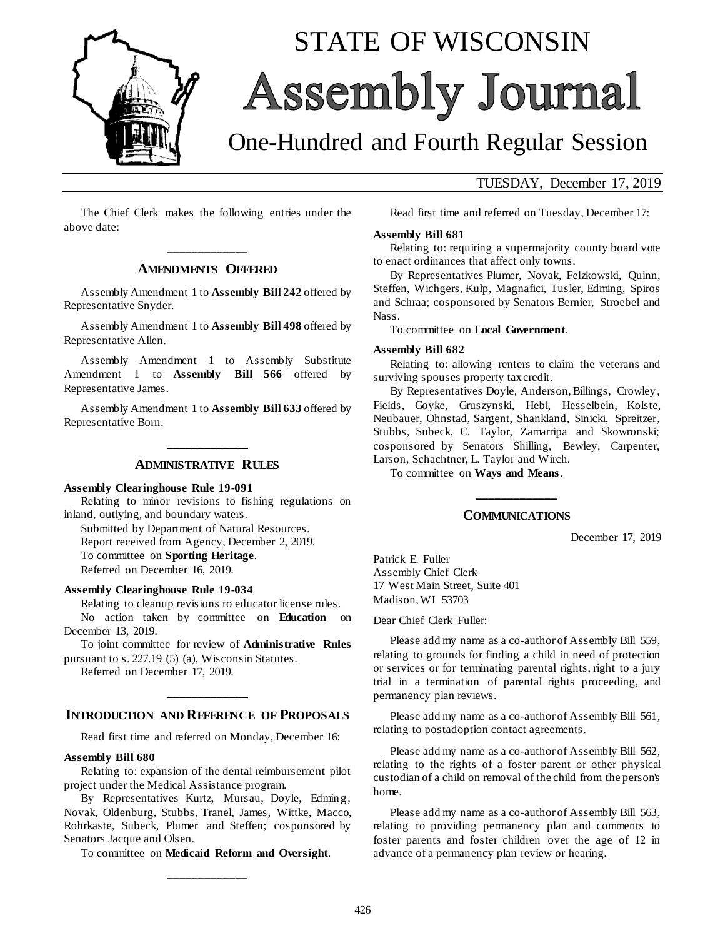

# STATE OF WISCONSIN Assembly Journal

## One-Hundred and Fourth Regular Session

TUESDAY, December 17, 2019

The Chief Clerk makes the following entries under the above date:

## **\_\_\_\_\_\_\_\_\_\_\_\_\_ AMENDMENTS OFFERED**

Assembly Amendment 1 to **Assembly Bill 242** offered by Representative Snyder.

Assembly Amendment 1 to **Assembly Bill 498** offered by Representative Allen.

Assembly Amendment 1 to Assembly Substitute Amendment 1 to **Assembly Bill 566** offered by Representative James.

Assembly Amendment 1 to **Assembly Bill 633** offered by Representative Born.

## **\_\_\_\_\_\_\_\_\_\_\_\_\_ ADMINISTRATIVE RULES**

### **Assembly Clearinghouse Rule 19-091**

Relating to minor revisions to fishing regulations on inland, outlying, and boundary waters.

Submitted by Department of Natural Resources. Report received from Agency, December 2, 2019. To committee on **Sporting Heritage**. Referred on December 16, 2019.

#### **Assembly Clearinghouse Rule 19-034**

Relating to cleanup revisions to educator license rules. No action taken by committee on **Education** on December 13, 2019.

To joint committee for review of **Administrative Rules** pursuant to s. 227.19 (5) (a), Wisconsin Statutes.

Referred on December 17, 2019.

## **\_\_\_\_\_\_\_\_\_\_\_\_\_ INTRODUCTION AND REFERENCE OF PROPOSALS**

Read first time and referred on Monday, December 16:

#### **Assembly Bill 680**

Relating to: expansion of the dental reimbursement pilot project under the Medical Assistance program.

By Representatives Kurtz, Mursau, Doyle, Edming, Novak, Oldenburg, Stubbs, Tranel, James, Wittke, Macco, Rohrkaste, Subeck, Plumer and Steffen; cosponsored by Senators Jacque and Olsen.

To committee on **Medicaid Reform and Oversight**. **\_\_\_\_\_\_\_\_\_\_\_\_\_**

Read first time and referred on Tuesday, December 17:

#### **Assembly Bill 681**

Relating to: requiring a supermajority county board vote to enact ordinances that affect only towns.

By Representatives Plumer, Novak, Felzkowski, Quinn, Steffen, Wichgers, Kulp, Magnafici, Tusler, Edming, Spiros and Schraa; cosponsored by Senators Bernier, Stroebel and Nass.

To committee on **Local Government**.

#### **Assembly Bill 682**

Relating to: allowing renters to claim the veterans and surviving spouses property tax credit.

By Representatives Doyle, Anderson, Billings, Crowley, Fields, Goyke, Gruszynski, Hebl, Hesselbein, Kolste, Neubauer, Ohnstad, Sargent, Shankland, Sinicki, Spreitzer, Stubbs, Subeck, C. Taylor, Zamarripa and Skowronski; cosponsored by Senators Shilling, Bewley, Carpenter, Larson, Schachtner, L. Taylor and Wirch.

To committee on **Ways and Means**.

## **\_\_\_\_\_\_\_\_\_\_\_\_\_ COMMUNICATIONS**

December 17, 2019

Patrick E. Fuller Assembly Chief Clerk 17 West Main Street, Suite 401 Madison, WI 53703

Dear Chief Clerk Fuller:

Please add my name as a co-author of Assembly Bill 559, relating to grounds for finding a child in need of protection or services or for terminating parental rights, right to a jury trial in a termination of parental rights proceeding, and permanency plan reviews.

Please add my name as a co-author of Assembly Bill 561, relating to postadoption contact agreements.

Please add my name as a co-author of Assembly Bill 562, relating to the rights of a foster parent or other physical custodian of a child on removal of the child from the person's home.

Please add my name as a co-author of Assembly Bill 563, relating to providing permanency plan and comments to foster parents and foster children over the age of 12 in advance of a permanency plan review or hearing.